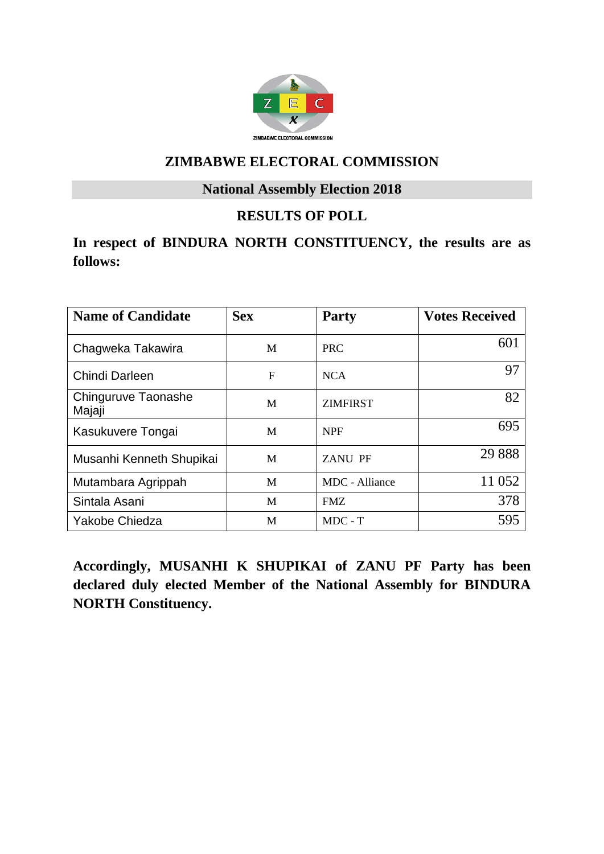

#### **National Assembly Election 2018**

## **RESULTS OF POLL**

## **In respect of BINDURA NORTH CONSTITUENCY, the results are as follows:**

| <b>Name of Candidate</b>      | <b>Sex</b> | <b>Party</b>    | <b>Votes Received</b> |
|-------------------------------|------------|-----------------|-----------------------|
| Chagweka Takawira             | M          | <b>PRC</b>      | 601                   |
| Chindi Darleen                | F          | <b>NCA</b>      | 97                    |
| Chinguruve Taonashe<br>Majaji | M          | <b>ZIMFIRST</b> | 82                    |
| Kasukuvere Tongai             | M          | <b>NPF</b>      | 695                   |
| Musanhi Kenneth Shupikai      | M          | <b>ZANU PF</b>  | 29 8 8 8              |
| Mutambara Agrippah            | M          | MDC - Alliance  | 11 052                |
| Sintala Asani                 | M          | <b>FMZ</b>      | 378                   |
| Yakobe Chiedza                | M          | $MDC - T$       | 595                   |

**Accordingly, MUSANHI K SHUPIKAI of ZANU PF Party has been declared duly elected Member of the National Assembly for BINDURA NORTH Constituency.**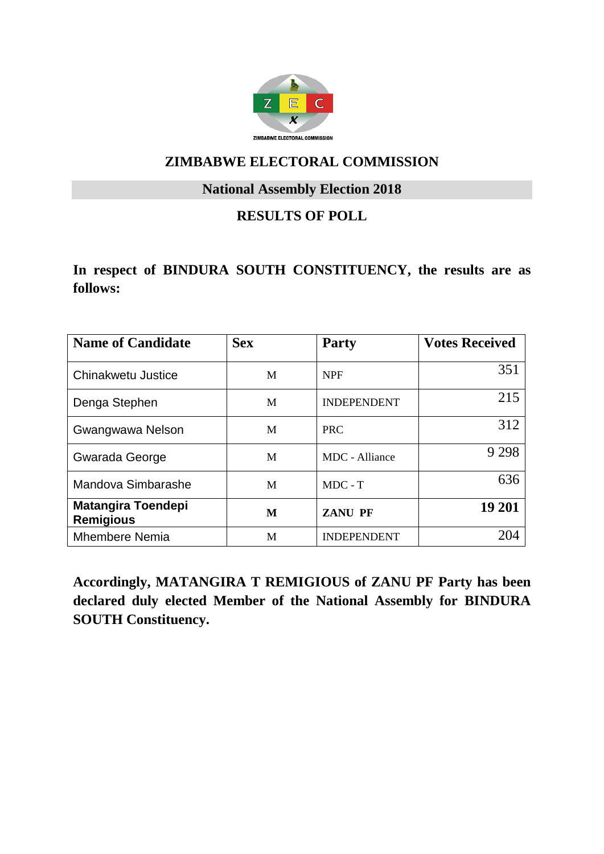

#### **National Assembly Election 2018**

## **RESULTS OF POLL**

### **In respect of BINDURA SOUTH CONSTITUENCY, the results are as follows:**

| <b>Name of Candidate</b>                      | <b>Sex</b> | <b>Party</b>       | <b>Votes Received</b> |
|-----------------------------------------------|------------|--------------------|-----------------------|
| Chinakwetu Justice                            | M          | <b>NPF</b>         | 351                   |
| Denga Stephen                                 | M          | <b>INDEPENDENT</b> | 215                   |
| Gwangwawa Nelson                              | M          | <b>PRC</b>         | 312                   |
| Gwarada George                                | M          | MDC - Alliance     | 9 2 9 8               |
| Mandova Simbarashe                            | M          | $MDC - T$          | 636                   |
| <b>Matangira Toendepi</b><br><b>Remigious</b> | M          | <b>ZANU PF</b>     | 19 201                |
| <b>Mhembere Nemia</b>                         | M          | <b>INDEPENDENT</b> |                       |

**Accordingly, MATANGIRA T REMIGIOUS of ZANU PF Party has been declared duly elected Member of the National Assembly for BINDURA SOUTH Constituency.**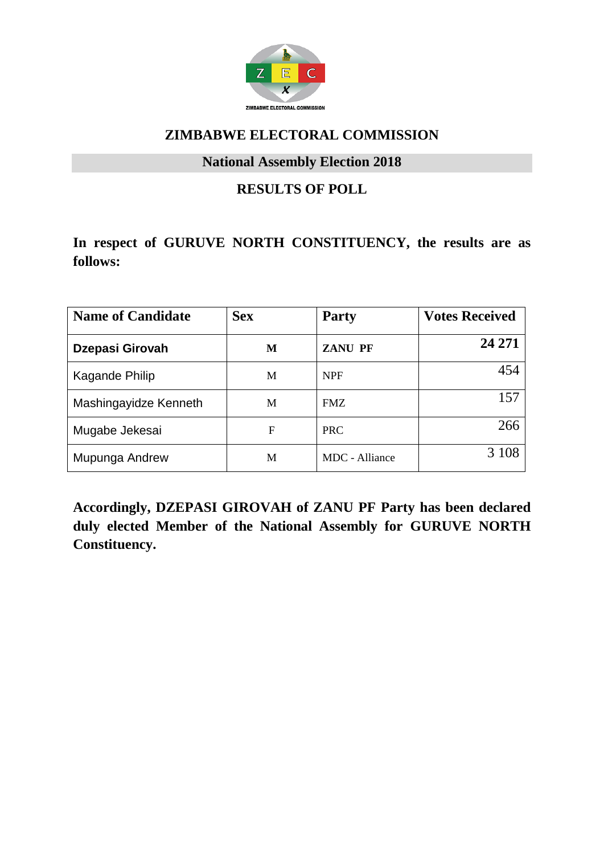

#### **National Assembly Election 2018**

## **RESULTS OF POLL**

## **In respect of GURUVE NORTH CONSTITUENCY, the results are as follows:**

| <b>Name of Candidate</b> | <b>Sex</b> | <b>Party</b>   | <b>Votes Received</b> |
|--------------------------|------------|----------------|-----------------------|
| Dzepasi Girovah          | M          | <b>ZANU PF</b> | 24 271                |
| Kagande Philip           | M          | <b>NPF</b>     | 454                   |
| Mashingayidze Kenneth    | M          | <b>FMZ</b>     | 157                   |
| Mugabe Jekesai           | F          | <b>PRC</b>     | 266                   |
| Mupunga Andrew           | M          | MDC - Alliance | 3 108                 |

**Accordingly, DZEPASI GIROVAH of ZANU PF Party has been declared duly elected Member of the National Assembly for GURUVE NORTH Constituency.**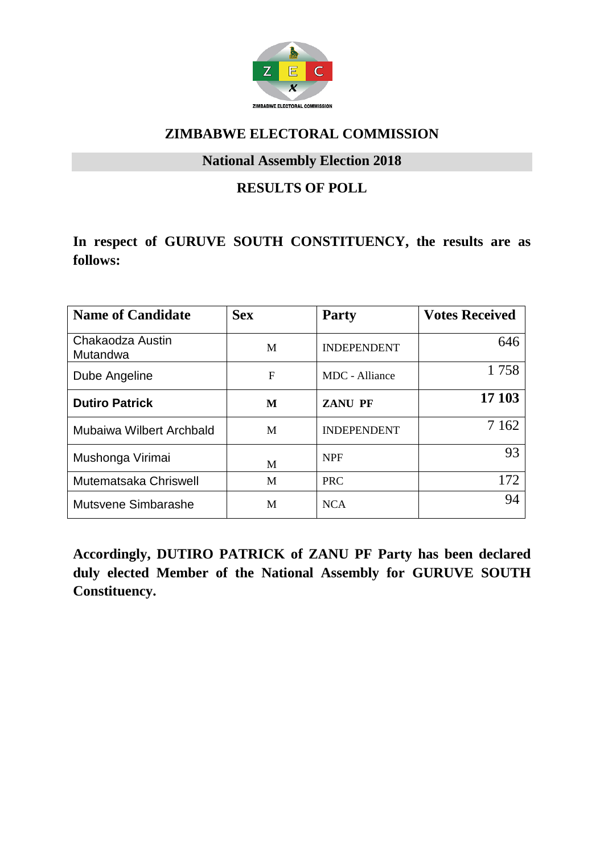

#### **National Assembly Election 2018**

### **RESULTS OF POLL**

# **In respect of GURUVE SOUTH CONSTITUENCY, the results are as follows:**

| <b>Name of Candidate</b>     | <b>Sex</b> | <b>Party</b>       | <b>Votes Received</b> |
|------------------------------|------------|--------------------|-----------------------|
| Chakaodza Austin<br>Mutandwa | M          | <b>INDEPENDENT</b> | 646                   |
| Dube Angeline                | F          | MDC - Alliance     | 1758                  |
| <b>Dutiro Patrick</b>        | M          | <b>ZANU PF</b>     | 17 103                |
| Mubaiwa Wilbert Archbald     | M          | <b>INDEPENDENT</b> | 7 1 6 2               |
| Mushonga Virimai             | M          | <b>NPF</b>         | 93                    |
| Mutematsaka Chriswell        | M          | <b>PRC</b>         | 172                   |
| Mutsvene Simbarashe          | M          | <b>NCA</b>         | 94                    |

**Accordingly, DUTIRO PATRICK of ZANU PF Party has been declared duly elected Member of the National Assembly for GURUVE SOUTH Constituency.**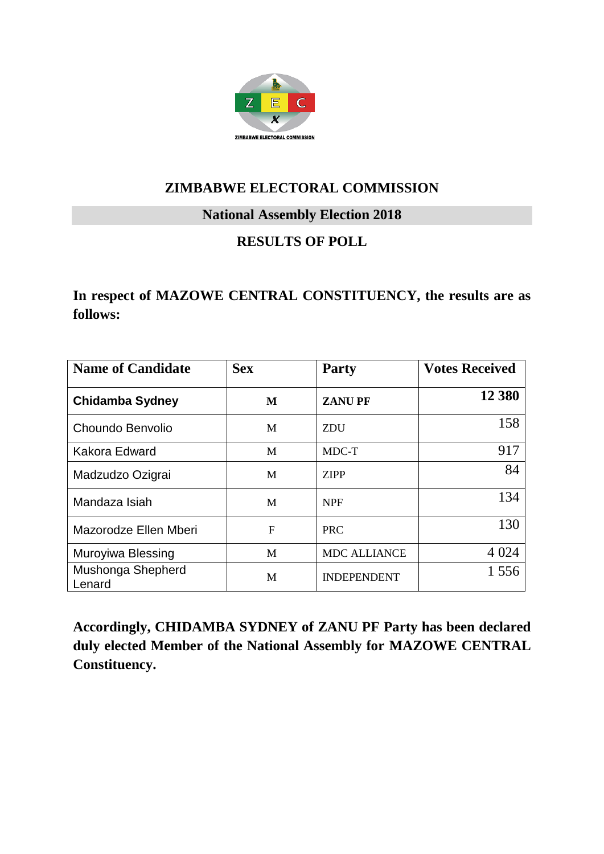

#### **National Assembly Election 2018**

## **RESULTS OF POLL**

**In respect of MAZOWE CENTRAL CONSTITUENCY, the results are as follows:**

| <b>Name of Candidate</b>    | <b>Sex</b> | <b>Party</b>        | <b>Votes Received</b> |
|-----------------------------|------------|---------------------|-----------------------|
| <b>Chidamba Sydney</b>      | M          | <b>ZANUPF</b>       | 12 380                |
| Choundo Benvolio            | M          | <b>ZDU</b>          | 158                   |
| Kakora Edward               | M          | MDC-T               | 917                   |
| Madzudzo Ozigrai            | M          | <b>ZIPP</b>         | 84                    |
| Mandaza Isiah               | M          | <b>NPF</b>          | 134                   |
| Mazorodze Ellen Mberi       | F          | <b>PRC</b>          | 130                   |
| Muroyiwa Blessing           | M          | <b>MDC ALLIANCE</b> | 4 0 24                |
| Mushonga Shepherd<br>Lenard | M          | <b>INDEPENDENT</b>  | 1 556                 |

**Accordingly, CHIDAMBA SYDNEY of ZANU PF Party has been declared duly elected Member of the National Assembly for MAZOWE CENTRAL Constituency.**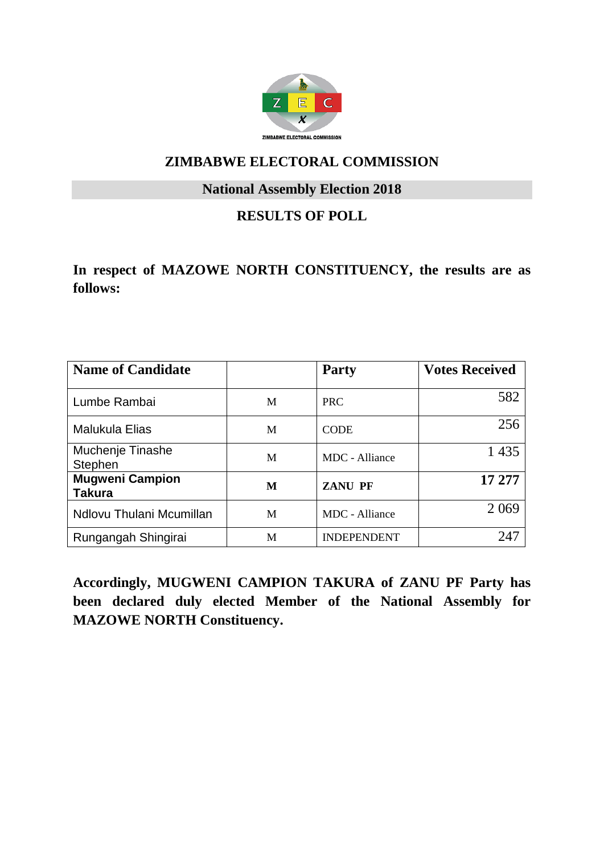

#### **National Assembly Election 2018**

## **RESULTS OF POLL**

**In respect of MAZOWE NORTH CONSTITUENCY, the results are as follows:**

| <b>Name of Candidate</b>                |   | <b>Party</b>       | <b>Votes Received</b> |
|-----------------------------------------|---|--------------------|-----------------------|
| Lumbe Rambai                            | M | <b>PRC</b>         | 582                   |
| Malukula Elias                          | M | <b>CODE</b>        | 256                   |
| Muchenje Tinashe<br>Stephen             | M | MDC - Alliance     | 1 4 3 5               |
| <b>Mugweni Campion</b><br><b>Takura</b> | M | <b>ZANU PF</b>     | 17 277                |
| Ndlovu Thulani Mcumillan                | M | MDC - Alliance     | 2 0 6 9               |
| Rungangah Shingirai                     | M | <b>INDEPENDENT</b> | 247                   |

**Accordingly, MUGWENI CAMPION TAKURA of ZANU PF Party has been declared duly elected Member of the National Assembly for MAZOWE NORTH Constituency.**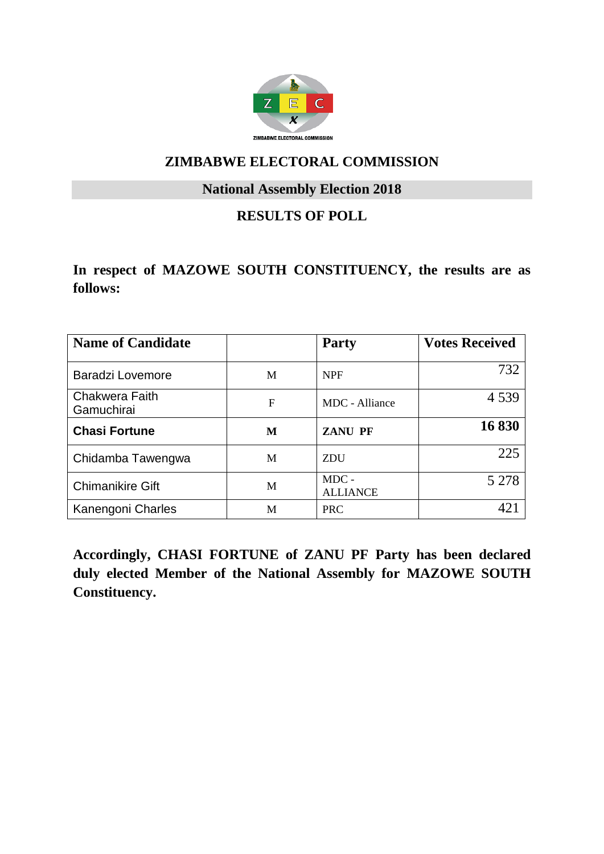

#### **National Assembly Election 2018**

## **RESULTS OF POLL**

### **In respect of MAZOWE SOUTH CONSTITUENCY, the results are as follows:**

| <b>Name of Candidate</b>            |   | <b>Party</b>               | <b>Votes Received</b> |
|-------------------------------------|---|----------------------------|-----------------------|
| <b>Baradzi Lovemore</b>             | M | <b>NPF</b>                 | 732                   |
| <b>Chakwera Faith</b><br>Gamuchirai | F | MDC - Alliance             | 4539                  |
| <b>Chasi Fortune</b>                | M | <b>ZANU PF</b>             | 16830                 |
| Chidamba Tawengwa                   | M | <b>ZDU</b>                 | 225                   |
| <b>Chimanikire Gift</b>             | M | $MDC -$<br><b>ALLIANCE</b> | 5 2 7 8               |
| Kanengoni Charles                   | M | <b>PRC</b>                 |                       |

**Accordingly, CHASI FORTUNE of ZANU PF Party has been declared duly elected Member of the National Assembly for MAZOWE SOUTH Constituency.**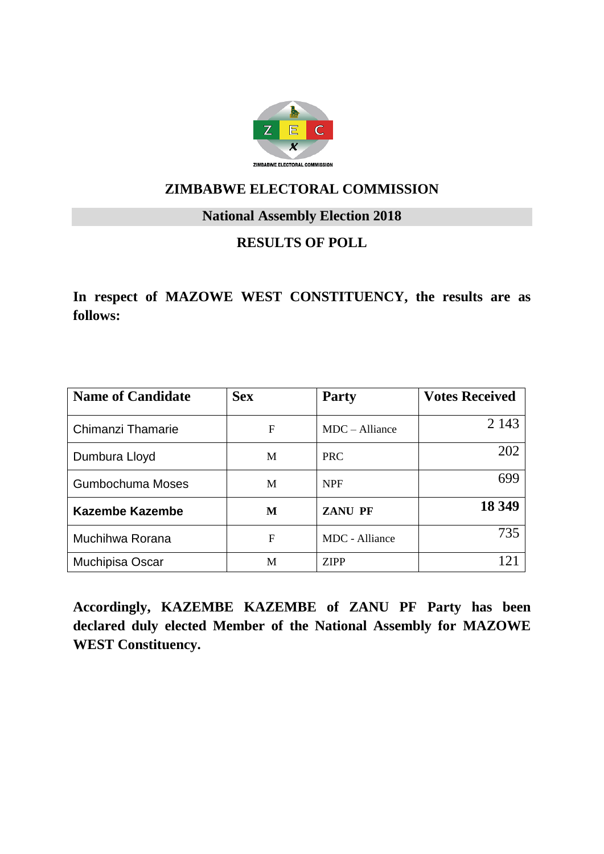

#### **National Assembly Election 2018**

# **RESULTS OF POLL**

**In respect of MAZOWE WEST CONSTITUENCY, the results are as follows:**

| <b>Name of Candidate</b> | <b>Sex</b> | <b>Party</b>     | <b>Votes Received</b>     |
|--------------------------|------------|------------------|---------------------------|
| Chimanzi Thamarie        | F          | $MDC - Alliance$ | 2 1 4 3                   |
| Dumbura Lloyd            | M          | <b>PRC</b>       | 202                       |
| Gumbochuma Moses         | M          | <b>NPF</b>       | 699                       |
| <b>Kazembe Kazembe</b>   | M          | <b>ZANU PF</b>   | 18 349                    |
| Muchihwa Rorana          | F          | MDC - Alliance   | 735                       |
| Muchipisa Oscar          | M          | <b>ZIPP</b>      | $\mathbf{1}$ $\mathbf{2}$ |

**Accordingly, KAZEMBE KAZEMBE of ZANU PF Party has been declared duly elected Member of the National Assembly for MAZOWE WEST Constituency.**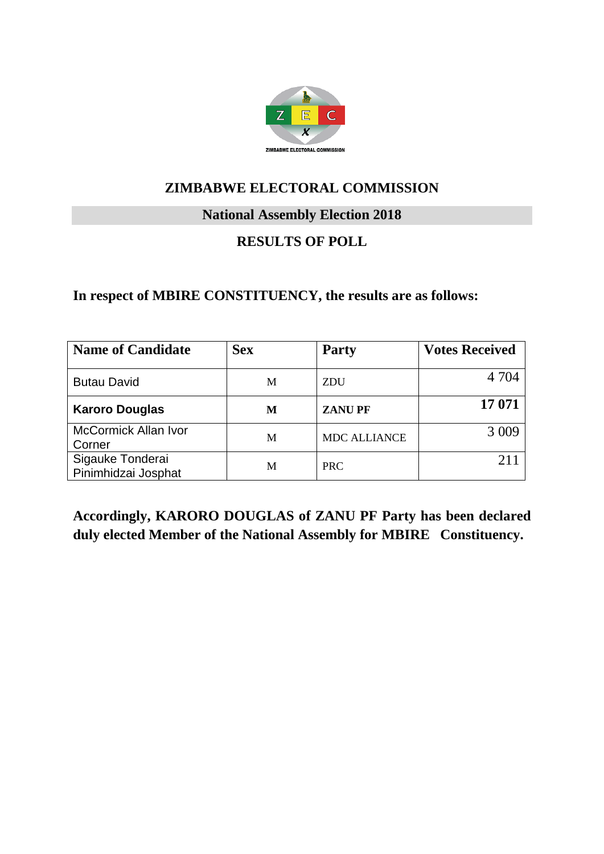

#### **National Assembly Election 2018**

# **RESULTS OF POLL**

#### **In respect of MBIRE CONSTITUENCY, the results are as follows:**

| <b>Name of Candidate</b>                | <b>Sex</b> | <b>Party</b>        | <b>Votes Received</b> |
|-----------------------------------------|------------|---------------------|-----------------------|
| <b>Butau David</b>                      | M          | <b>ZDU</b>          | 4 7 0 4               |
| <b>Karoro Douglas</b>                   | M          | <b>ZANUPF</b>       | 17 071                |
| <b>McCormick Allan Ivor</b><br>Corner   | M          | <b>MDC ALLIANCE</b> | 3 0 0 9               |
| Sigauke Tonderai<br>Pinimhidzai Josphat | M          | <b>PRC</b>          |                       |

**Accordingly, KARORO DOUGLAS of ZANU PF Party has been declared duly elected Member of the National Assembly for MBIRE Constituency.**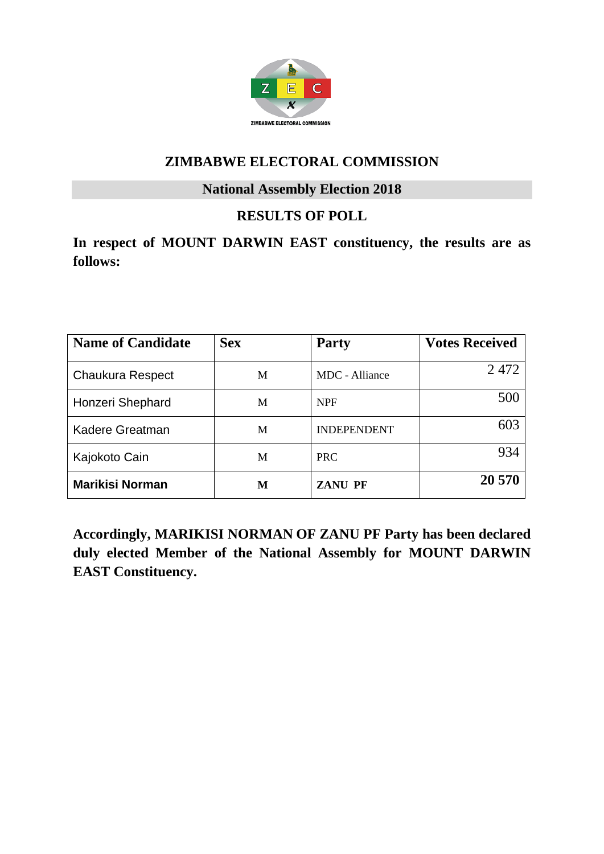

#### **National Assembly Election 2018**

## **RESULTS OF POLL**

**In respect of MOUNT DARWIN EAST constituency, the results are as follows:**

| <b>Name of Candidate</b> | <b>Sex</b> | <b>Party</b>       | <b>Votes Received</b> |
|--------------------------|------------|--------------------|-----------------------|
| <b>Chaukura Respect</b>  | M          | MDC - Alliance     | 2472                  |
| Honzeri Shephard         | M          | <b>NPF</b>         | 500                   |
| Kadere Greatman          | M          | <b>INDEPENDENT</b> | 603                   |
| Kajokoto Cain            | M          | <b>PRC</b>         | 934                   |
| <b>Marikisi Norman</b>   | М          | <b>ZANU PF</b>     | 20 570                |

**Accordingly, MARIKISI NORMAN OF ZANU PF Party has been declared duly elected Member of the National Assembly for MOUNT DARWIN EAST Constituency.**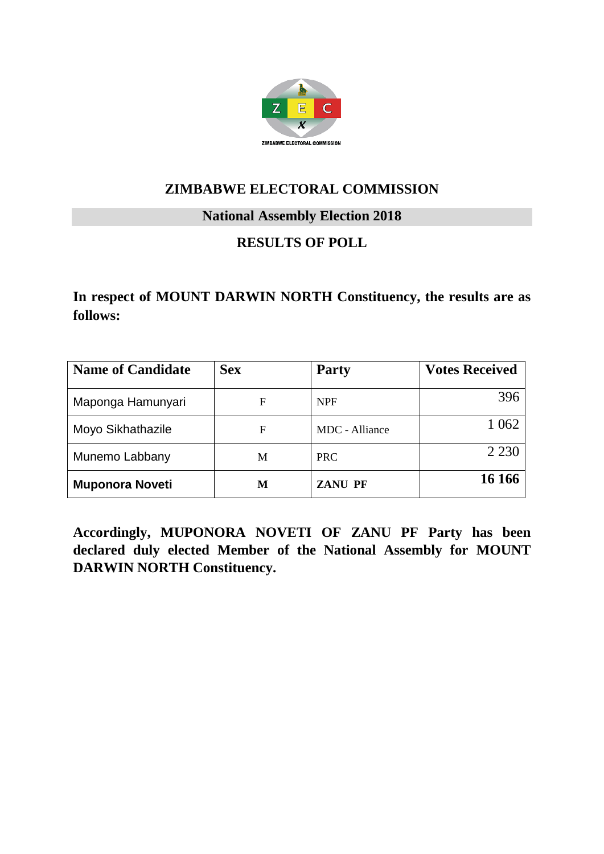

### **National Assembly Election 2018**

## **RESULTS OF POLL**

## **In respect of MOUNT DARWIN NORTH Constituency, the results are as follows:**

| <b>Name of Candidate</b> | <b>Sex</b> | <b>Party</b>   | <b>Votes Received</b> |
|--------------------------|------------|----------------|-----------------------|
| Maponga Hamunyari        | F          | <b>NPF</b>     | 396                   |
| Moyo Sikhathazile        | F          | MDC - Alliance | 1 0 6 2               |
| Munemo Labbany           | M          | <b>PRC</b>     | 2 2 3 0               |
| <b>Muponora Noveti</b>   | М          | <b>ZANU PF</b> | 16 16 6               |

**Accordingly, MUPONORA NOVETI OF ZANU PF Party has been declared duly elected Member of the National Assembly for MOUNT DARWIN NORTH Constituency.**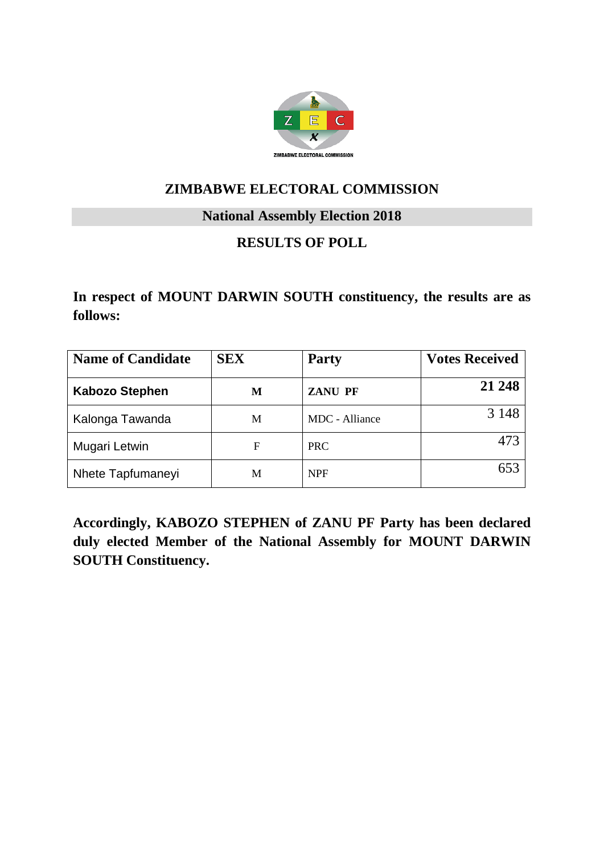

#### **National Assembly Election 2018**

## **RESULTS OF POLL**

**In respect of MOUNT DARWIN SOUTH constituency, the results are as follows:**

| <b>Name of Candidate</b> | <b>SEX</b> | <b>Party</b>   | <b>Votes Received</b> |
|--------------------------|------------|----------------|-----------------------|
| <b>Kabozo Stephen</b>    | M          | <b>ZANU PF</b> | 21 248                |
| Kalonga Tawanda          | М          | MDC - Alliance | 3 1 4 8               |
| Mugari Letwin            | F          | <b>PRC</b>     | 473                   |
| Nhete Tapfumaneyi        | M          | <b>NPF</b>     | 653                   |

**Accordingly, KABOZO STEPHEN of ZANU PF Party has been declared duly elected Member of the National Assembly for MOUNT DARWIN SOUTH Constituency.**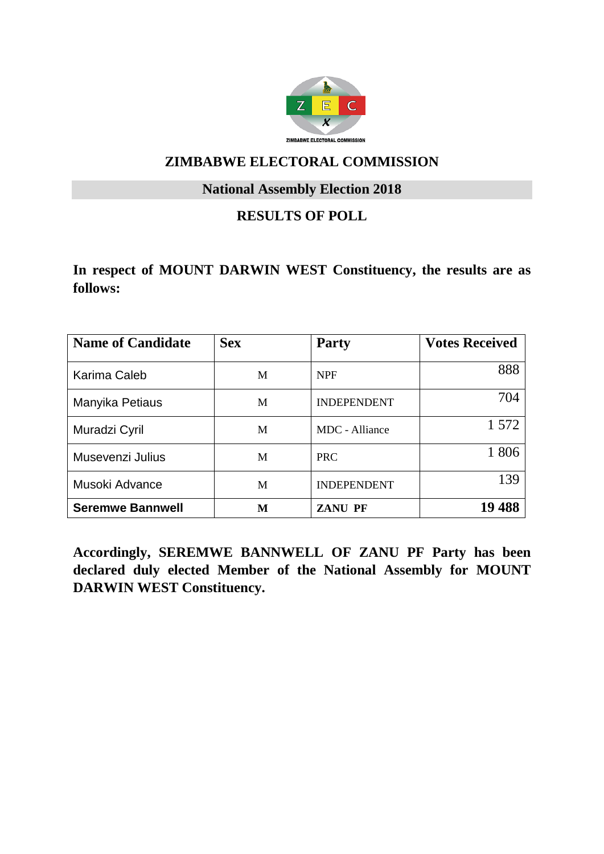

#### **National Assembly Election 2018**

### **RESULTS OF POLL**

**In respect of MOUNT DARWIN WEST Constituency, the results are as follows:**

| <b>Name of Candidate</b> | <b>Sex</b> | <b>Party</b>       | <b>Votes Received</b> |
|--------------------------|------------|--------------------|-----------------------|
| Karima Caleb             | M          | <b>NPF</b>         | 888                   |
| Manyika Petiaus          | M          | <b>INDEPENDENT</b> | 704                   |
| Muradzi Cyril            | M          | MDC - Alliance     | 1 572                 |
| Musevenzi Julius         | M          | <b>PRC</b>         | 1806                  |
| Musoki Advance           | M          | <b>INDEPENDENT</b> | 139                   |
| <b>Seremwe Bannwell</b>  | М          | <b>ZANU PF</b>     | 488                   |

**Accordingly, SEREMWE BANNWELL OF ZANU PF Party has been declared duly elected Member of the National Assembly for MOUNT DARWIN WEST Constituency.**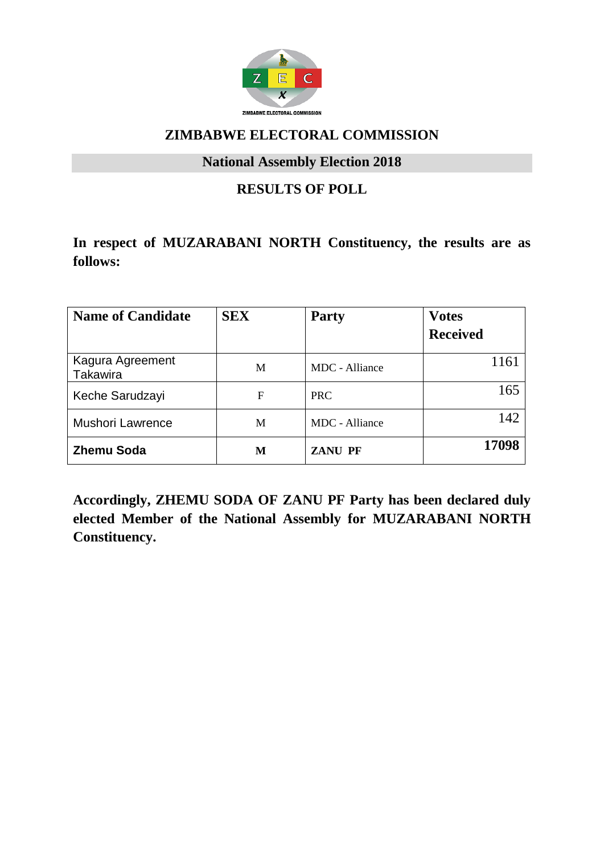

#### **National Assembly Election 2018**

## **RESULTS OF POLL**

## **In respect of MUZARABANI NORTH Constituency, the results are as follows:**

| <b>Name of Candidate</b>     | <b>SEX</b> | <b>Party</b>   | <b>Votes</b><br><b>Received</b> |
|------------------------------|------------|----------------|---------------------------------|
| Kagura Agreement<br>Takawira | M          | MDC - Alliance | 1161                            |
| Keche Sarudzayi              | F          | <b>PRC</b>     | 165                             |
| <b>Mushori Lawrence</b>      | M          | MDC - Alliance | 142                             |
| <b>Zhemu Soda</b>            | М          | <b>ZANU PF</b> | 17098                           |

**Accordingly, ZHEMU SODA OF ZANU PF Party has been declared duly elected Member of the National Assembly for MUZARABANI NORTH Constituency.**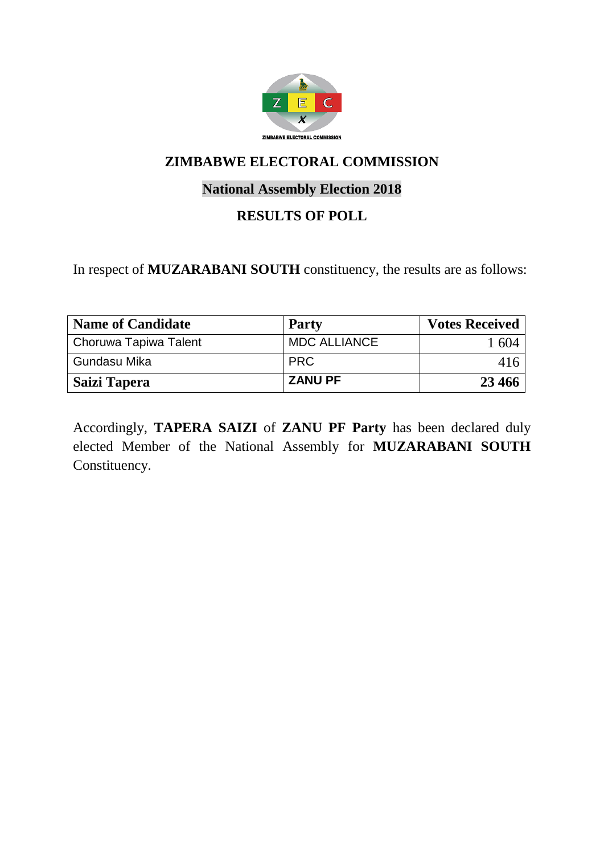

## **National Assembly Election 2018**

## **RESULTS OF POLL**

In respect of **MUZARABANI SOUTH** constituency, the results are as follows:

| <b>Name of Candidate</b> | <b>Party</b>        | <b>Votes Received</b> |
|--------------------------|---------------------|-----------------------|
| Choruwa Tapiwa Talent    | <b>MDC ALLIANCE</b> | 1 604                 |
| Gundasu Mika             | <b>PRC</b>          | 416                   |
| Saizi Tapera             | <b>ZANU PF</b>      | 23 4 6 6              |

Accordingly, **TAPERA SAIZI** of **ZANU PF Party** has been declared duly elected Member of the National Assembly for **MUZARABANI SOUTH** Constituency.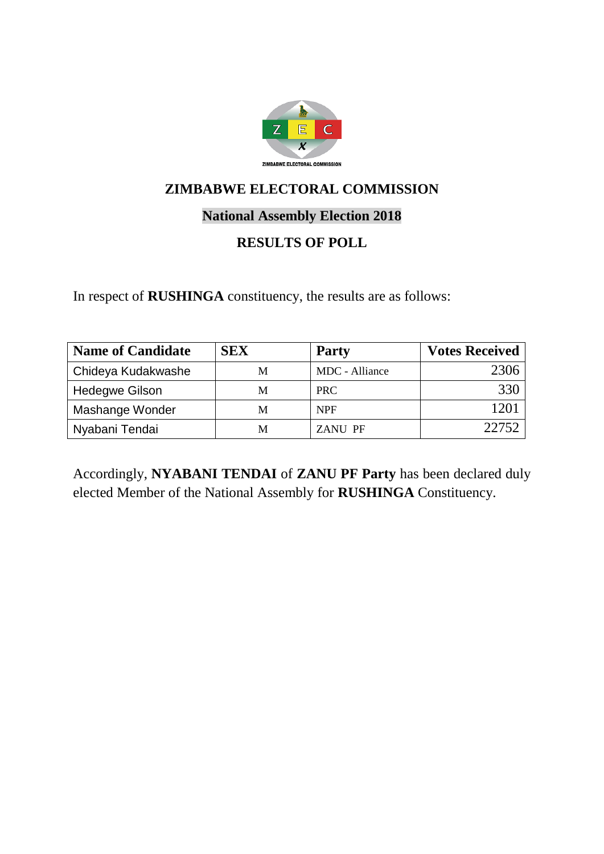

## **National Assembly Election 2018**

# **RESULTS OF POLL**

In respect of **RUSHINGA** constituency, the results are as follows:

| <b>Name of Candidate</b> | <b>SEX</b> | <b>Party</b>   | <b>Votes Received</b> |
|--------------------------|------------|----------------|-----------------------|
| Chideya Kudakwashe       | M          | MDC - Alliance | 2306                  |
| <b>Hedegwe Gilson</b>    | M          | PRC.           | 330                   |
| Mashange Wonder          | M          | <b>NPF</b>     |                       |
| Nyabani Tendai           | М          | <b>ZANU PF</b> | 22752                 |

Accordingly, **NYABANI TENDAI** of **ZANU PF Party** has been declared duly elected Member of the National Assembly for **RUSHINGA** Constituency.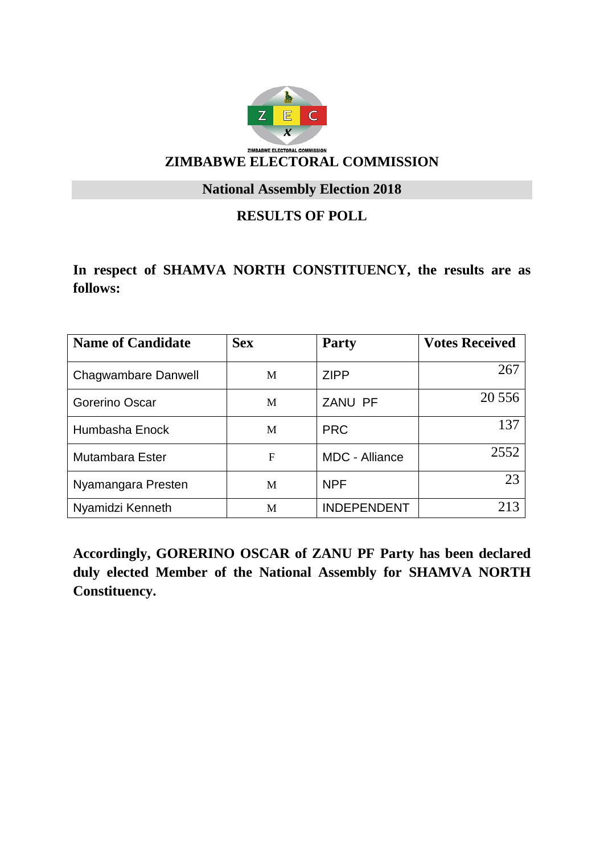

**National Assembly Election 2018**

## **RESULTS OF POLL**

**In respect of SHAMVA NORTH CONSTITUENCY, the results are as follows:**

| <b>Name of Candidate</b> | <b>Sex</b> | <b>Party</b>          | <b>Votes Received</b> |
|--------------------------|------------|-----------------------|-----------------------|
| Chagwambare Danwell      | M          | <b>ZIPP</b>           | 267                   |
| Gorerino Oscar           | M          | ZANU PF               | 20 5 5 6              |
| Humbasha Enock           | M          | <b>PRC</b>            | 137                   |
| Mutambara Ester          | F          | <b>MDC</b> - Alliance | 2552                  |
| Nyamangara Presten       | M          | <b>NPF</b>            | 23                    |
| Nyamidzi Kenneth         | M          | <b>INDEPENDENT</b>    | 213                   |

**Accordingly, GORERINO OSCAR of ZANU PF Party has been declared duly elected Member of the National Assembly for SHAMVA NORTH Constituency.**